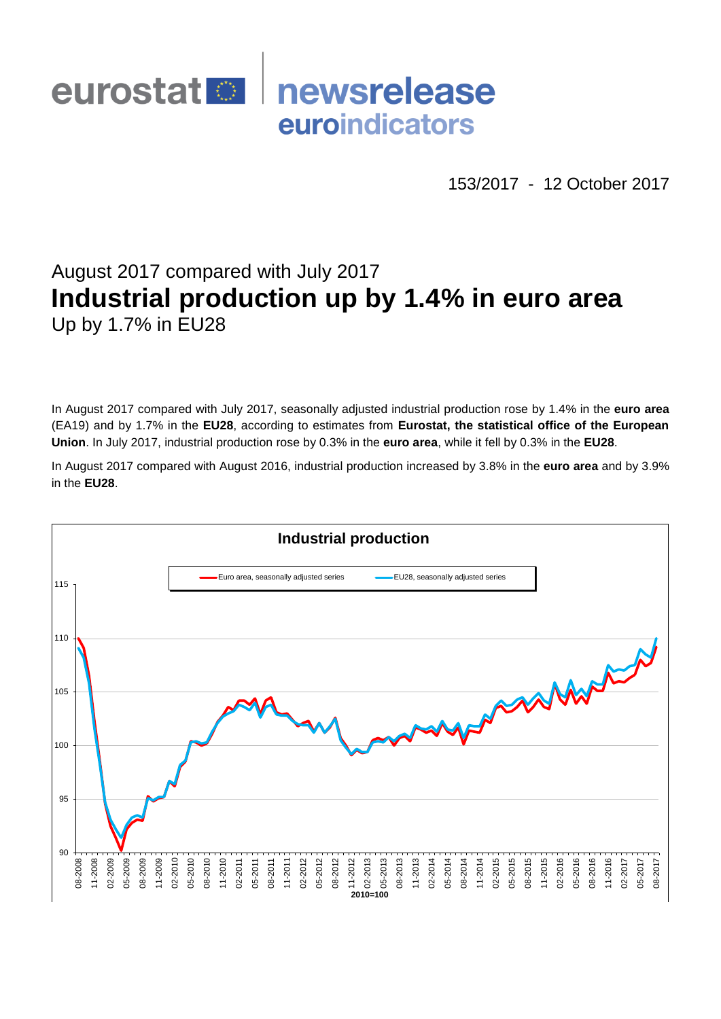# eurostat<sup>1</sup> newsrelease euroindicators

153/2017 - 12 October 2017

# August 2017 compared with July 2017 **Industrial production up by 1.4% in euro area** Up by 1.7% in EU28

In August 2017 compared with July 2017, seasonally adjusted industrial production rose by 1.4% in the **euro area**  (EA19) and by 1.7% in the **EU28**, according to estimates from **Eurostat, the statistical office of the European Union**. In July 2017, industrial production rose by 0.3% in the **euro area**, while it fell by 0.3% in the **EU28**.

In August 2017 compared with August 2016, industrial production increased by 3.8% in the **euro area** and by 3.9% in the **EU28**.

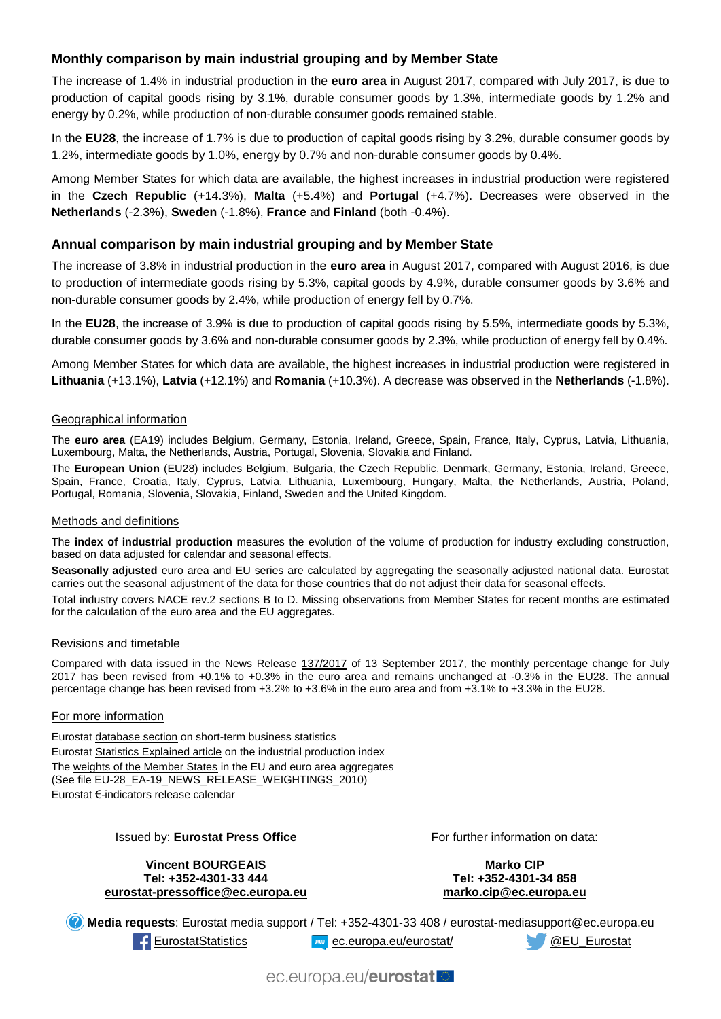## **Monthly comparison by main industrial grouping and by Member State**

The increase of 1.4% in industrial production in the **euro area** in August 2017, compared with July 2017, is due to production of capital goods rising by 3.1%, durable consumer goods by 1.3%, intermediate goods by 1.2% and energy by 0.2%, while production of non-durable consumer goods remained stable.

In the **EU28**, the increase of 1.7% is due to production of capital goods rising by 3.2%, durable consumer goods by 1.2%, intermediate goods by 1.0%, energy by 0.7% and non-durable consumer goods by 0.4%.

Among Member States for which data are available, the highest increases in industrial production were registered in the **Czech Republic** (+14.3%), **Malta** (+5.4%) and **Portugal** (+4.7%). Decreases were observed in the **Netherlands** (-2.3%), **Sweden** (-1.8%), **France** and **Finland** (both -0.4%).

## **Annual comparison by main industrial grouping and by Member State**

The increase of 3.8% in industrial production in the **euro area** in August 2017, compared with August 2016, is due to production of intermediate goods rising by 5.3%, capital goods by 4.9%, durable consumer goods by 3.6% and non-durable consumer goods by 2.4%, while production of energy fell by 0.7%.

In the **EU28**, the increase of 3.9% is due to production of capital goods rising by 5.5%, intermediate goods by 5.3%, durable consumer goods by 3.6% and non-durable consumer goods by 2.3%, while production of energy fell by 0.4%.

Among Member States for which data are available, the highest increases in industrial production were registered in **Lithuania** (+13.1%), **Latvia** (+12.1%) and **Romania** (+10.3%). A decrease was observed in the **Netherlands** (-1.8%).

### Geographical information

The **euro area** (EA19) includes Belgium, Germany, Estonia, Ireland, Greece, Spain, France, Italy, Cyprus, Latvia, Lithuania, Luxembourg, Malta, the Netherlands, Austria, Portugal, Slovenia, Slovakia and Finland.

The **European Union** (EU28) includes Belgium, Bulgaria, the Czech Republic, Denmark, Germany, Estonia, Ireland, Greece, Spain, France, Croatia, Italy, Cyprus, Latvia, Lithuania, Luxembourg, Hungary, Malta, the Netherlands, Austria, Poland, Portugal, Romania, Slovenia, Slovakia, Finland, Sweden and the United Kingdom.

#### Methods and definitions

The **index of industrial production** measures the evolution of the volume of production for industry excluding construction, based on data adjusted for calendar and seasonal effects.

**Seasonally adjusted** euro area and EU series are calculated by aggregating the seasonally adjusted national data. Eurostat carries out the seasonal adjustment of the data for those countries that do not adjust their data for seasonal effects.

Total industry covers [NACE rev.2](http://ec.europa.eu/eurostat/ramon/nomenclatures/index.cfm?TargetUrl=LST_NOM_DTL&StrNom=NACE_REV2&StrLanguageCode=EN&IntPcKey=&StrLayoutCode=HIERARCHIC) sections B to D. Missing observations from Member States for recent months are estimated for the calculation of the euro area and the EU aggregates.

#### Revisions and timetable

Compared with data issued in the News Release [137/2017](http://ec.europa.eu/eurostat/documents/2995521/8220094/4-13092017-BP-EN.pdf/d9d9927c-bc09-4554-b19c-ded02fa785a9) of 13 September 2017, the monthly percentage change for July 2017 has been revised from +0.1% to +0.3% in the euro area and remains unchanged at -0.3% in the EU28. The annual percentage change has been revised from +3.2% to +3.6% in the euro area and from +3.1% to +3.3% in the EU28.

### For more information

Eurosta[t database section](http://ec.europa.eu/eurostat/web/short-term-business-statistics/data/database) on short-term business statistics Eurosta[t Statistics Explained article](http://ec.europa.eu/eurostat/statistics-explained/index.php/Industrial_production_(volume)_index_overview) on the industrial production index Th[e weights of the Member States](https://circabc.europa.eu/w/browse/5e6d1e48-056c-4c6a-8278-3ab138bcf575) in the EU and euro area aggregates (See file EU-28\_EA-19\_NEWS\_RELEASE\_WEIGHTINGS\_2010) Eurostat €-indicator[s release calendar](http://ec.europa.eu/eurostat/news/release-calendar)

#### Issued by: **Eurostat Press Office**

**Vincent BOURGEAIS Tel: +352-4301-33 444 [eurostat-pressoffice@ec.europa.eu](mailto:eurostat-pressoffice@ec.europa.eu)** For further information on data:

**Marko CIP Tel: +352-4301-34 858 [marko.cip@ec.europa.eu](mailto:marko.cip@ec.europa.eu)**

**Media requests**: Eurostat media support / Tel: +352-4301-33 408 / [eurostat-mediasupport@ec.europa.eu](mailto:eurostat-mediasupport@ec.europa.eu)

[EurostatStatistics](http://www.facebook.com/EurostatStatistics) was [ec.europa.eu/eurostat/](http://ec.europa.eu/eurostat/) exercise exercise exercise to the Eurostat

ec.europa.eu/eurostatlo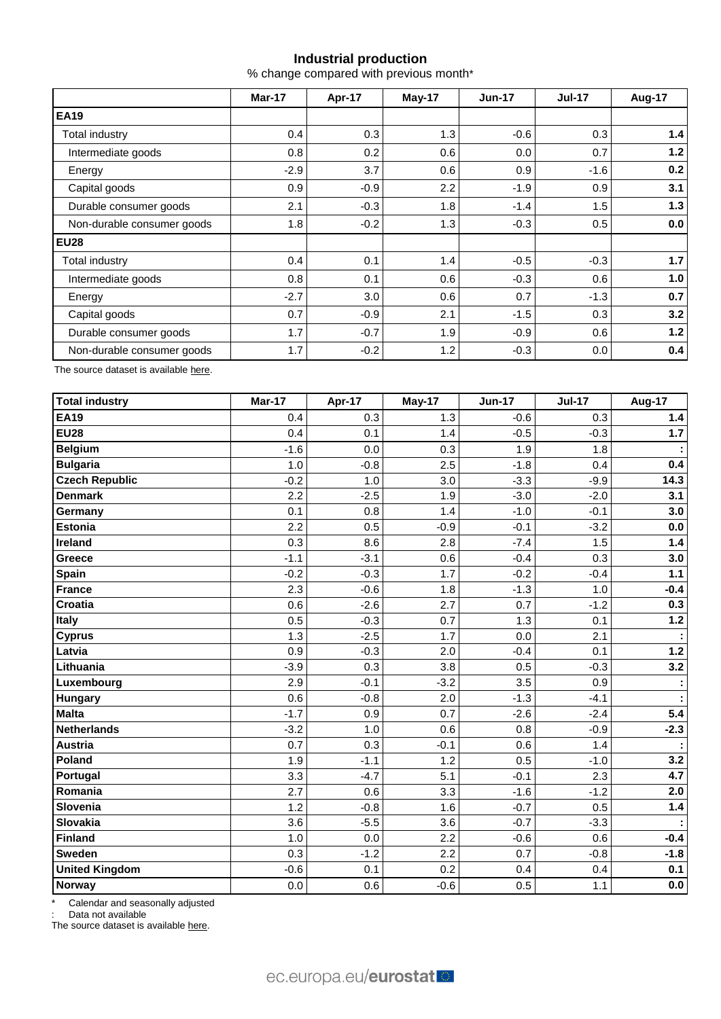## **Industrial production**

% change compared with previous month\*

|                            | Mar-17 | Apr-17 | May-17           | <b>Jun-17</b> | <b>Jul-17</b> | Aug-17 |  |
|----------------------------|--------|--------|------------------|---------------|---------------|--------|--|
| <b>EA19</b>                |        |        |                  |               |               |        |  |
| Total industry             | 0.4    | 0.3    | 1.3              | $-0.6$        | 0.3           | 1.4    |  |
| Intermediate goods         | 0.8    | 0.2    | 0.6              | 0.0           | 0.7           | $1.2$  |  |
| Energy                     | $-2.9$ | 3.7    | 0.6              | 0.9           | $-1.6$        | 0.2    |  |
| Capital goods              | 0.9    | $-0.9$ | $2.2\phantom{0}$ | $-1.9$        | 0.9           | 3.1    |  |
| Durable consumer goods     | 2.1    | $-0.3$ | 1.8              | $-1.4$        | 1.5           | 1.3    |  |
| Non-durable consumer goods | 1.8    | $-0.2$ | 1.3              | $-0.3$        | 0.5           | 0.0    |  |
| <b>EU28</b>                |        |        |                  |               |               |        |  |
| Total industry             | 0.4    | 0.1    | 1.4              | $-0.5$        | $-0.3$        | $1.7$  |  |
| Intermediate goods         | 0.8    | 0.1    | 0.6              | $-0.3$        | 0.6           | 1.0    |  |
| Energy                     | $-2.7$ | 3.0    | 0.6              | 0.7           | $-1.3$        | 0.7    |  |
| Capital goods              | 0.7    | $-0.9$ | 2.1              | $-1.5$        | 0.3           | 3.2    |  |
| Durable consumer goods     | 1.7    | $-0.7$ | 1.9              | $-0.9$        | 0.6           | 1.2    |  |
| Non-durable consumer goods | 1.7    | $-0.2$ | 1.2              | $-0.3$        | 0.0           | 0.4    |  |

The source dataset is availabl[e here.](http://appsso.eurostat.ec.europa.eu/nui/show.do?query=BOOKMARK_DS-069583_QID_-53045BCF_UID_-3F171EB0&layout=TIME,C,X,0;GEO,L,Y,0;NACE_R2,L,Y,1;INDIC_BT,L,Z,0;S_ADJ,L,Z,1;UNIT,L,Z,2;INDICATORS,C,Z,3;&zSelection=DS-069583UNIT,PCH_PRE;DS-069583S_ADJ,SCA;DS-069583INDIC_BT,PROD;DS-069583INDICATORS,OBS_FLAG;&rankName1=UNIT_1_2_-1_2&rankName2=INDIC-BT_1_2_-1_2&rankName3=INDICATORS_1_2_-1_2&rankName4=S-ADJ_1_2_-1_2&rankName5=TIME_1_0_0_0&rankName6=GEO_1_0_0_1&rankName7=NACE-R2_1_2_1_1&sortR=ASC_-1_FIRST&sortC=ASC_-1_FIRST&rStp=&cStp=&rDCh=&cDCh=&rDM=true&cDM=true&footnes=false&empty=false&wai=false&time_mode=ROLLING&time_most_recent=true&lang=EN&cfo=%23%23%23%2C%23%23%23.%23%23%23)

| <b>Total industry</b> | Mar-17 | Apr-17 | <b>May-17</b> | <b>Jun-17</b> | <b>Jul-17</b> | <b>Aug-17</b> |
|-----------------------|--------|--------|---------------|---------------|---------------|---------------|
| <b>EA19</b>           | 0.4    | 0.3    | 1.3           | $-0.6$        | 0.3           | 1.4           |
| <b>EU28</b>           | 0.4    | 0.1    | 1.4           | $-0.5$        | $-0.3$        | 1.7           |
| <b>Belgium</b>        | $-1.6$ | 0.0    | 0.3           | 1.9           | 1.8           |               |
| <b>Bulgaria</b>       | 1.0    | $-0.8$ | 2.5           | $-1.8$        | 0.4           | 0.4           |
| <b>Czech Republic</b> | $-0.2$ | 1.0    | 3.0           | $-3.3$        | $-9.9$        | 14.3          |
| <b>Denmark</b>        | 2.2    | $-2.5$ | 1.9           | $-3.0$        | $-2.0$        | 3.1           |
| Germany               | 0.1    | 0.8    | 1.4           | $-1.0$        | $-0.1$        | 3.0           |
| <b>Estonia</b>        | 2.2    | 0.5    | $-0.9$        | $-0.1$        | $-3.2$        | 0.0           |
| <b>Ireland</b>        | 0.3    | 8.6    | 2.8           | $-7.4$        | 1.5           | 1.4           |
| <b>Greece</b>         | $-1.1$ | $-3.1$ | 0.6           | $-0.4$        | 0.3           | 3.0           |
| Spain                 | $-0.2$ | $-0.3$ | 1.7           | $-0.2$        | $-0.4$        | $1.1$         |
| <b>France</b>         | 2.3    | $-0.6$ | 1.8           | $-1.3$        | 1.0           | $-0.4$        |
| Croatia               | 0.6    | $-2.6$ | 2.7           | 0.7           | $-1.2$        | 0.3           |
| Italy                 | 0.5    | $-0.3$ | 0.7           | 1.3           | 0.1           | $1.2$         |
| <b>Cyprus</b>         | 1.3    | $-2.5$ | 1.7           | 0.0           | 2.1           | ÷             |
| Latvia                | 0.9    | $-0.3$ | 2.0           | $-0.4$        | 0.1           | $1.2$         |
| Lithuania             | $-3.9$ | 0.3    | 3.8           | 0.5           | $-0.3$        | 3.2           |
| Luxembourg            | 2.9    | $-0.1$ | $-3.2$        | 3.5           | 0.9           | ÷             |
| Hungary               | 0.6    | $-0.8$ | 2.0           | $-1.3$        | $-4.1$        | ÷             |
| <b>Malta</b>          | $-1.7$ | 0.9    | 0.7           | $-2.6$        | $-2.4$        | 5.4           |
| <b>Netherlands</b>    | $-3.2$ | 1.0    | 0.6           | 0.8           | $-0.9$        | $-2.3$        |
| <b>Austria</b>        | 0.7    | 0.3    | $-0.1$        | 0.6           | 1.4           | ÷             |
| Poland                | 1.9    | $-1.1$ | 1.2           | 0.5           | $-1.0$        | 3.2           |
| Portugal              | 3.3    | $-4.7$ | 5.1           | $-0.1$        | 2.3           | 4.7           |
| Romania               | 2.7    | 0.6    | 3.3           | $-1.6$        | $-1.2$        | 2.0           |
| Slovenia              | 1.2    | $-0.8$ | 1.6           | $-0.7$        | 0.5           | $1.4$         |
| Slovakia              | 3.6    | $-5.5$ | 3.6           | $-0.7$        | $-3.3$        |               |
| <b>Finland</b>        | 1.0    | 0.0    | 2.2           | $-0.6$        | 0.6           | $-0.4$        |
| <b>Sweden</b>         | 0.3    | $-1.2$ | 2.2           | 0.7           | $-0.8$        | $-1.8$        |
| <b>United Kingdom</b> | $-0.6$ | 0.1    | 0.2           | 0.4           | 0.4           | 0.1           |
| <b>Norway</b>         | 0.0    | 0.6    | $-0.6$        | 0.5           | 1.1           | 0.0           |

Calendar and seasonally adjusted

: Data not available

The source dataset is availabl[e here.](http://appsso.eurostat.ec.europa.eu/nui/show.do?query=BOOKMARK_DS-069583_QID_-3986CD57_UID_-3F171EB0&layout=TIME,C,X,0;GEO,L,Y,0;INDIC_BT,L,Z,0;S_ADJ,L,Z,1;UNIT,L,Z,2;NACE_R2,L,Z,3;INDICATORS,C,Z,4;&zSelection=DS-069583UNIT,PCH_PRE;DS-069583S_ADJ,SCA;DS-069583INDIC_BT,PROD;DS-069583INDICATORS,OBS_FLAG;DS-069583NACE_R2,B-D;&rankName1=UNIT_1_2_-1_2&rankName2=INDIC-BT_1_2_-1_2&rankName3=INDICATORS_1_2_-1_2&rankName4=S-ADJ_1_2_-1_2&rankName5=NACE-R2_1_2_-1_2&rankName6=TIME_1_0_0_0&rankName7=GEO_1_2_0_1&sortC=ASC_-1_FIRST&rStp=&cStp=&rDCh=&cDCh=&rDM=true&cDM=true&footnes=false&empty=false&wai=false&time_mode=ROLLING&time_most_recent=true&lang=EN&cfo=%23%23%23%2C%23%23%23.%23%23%23)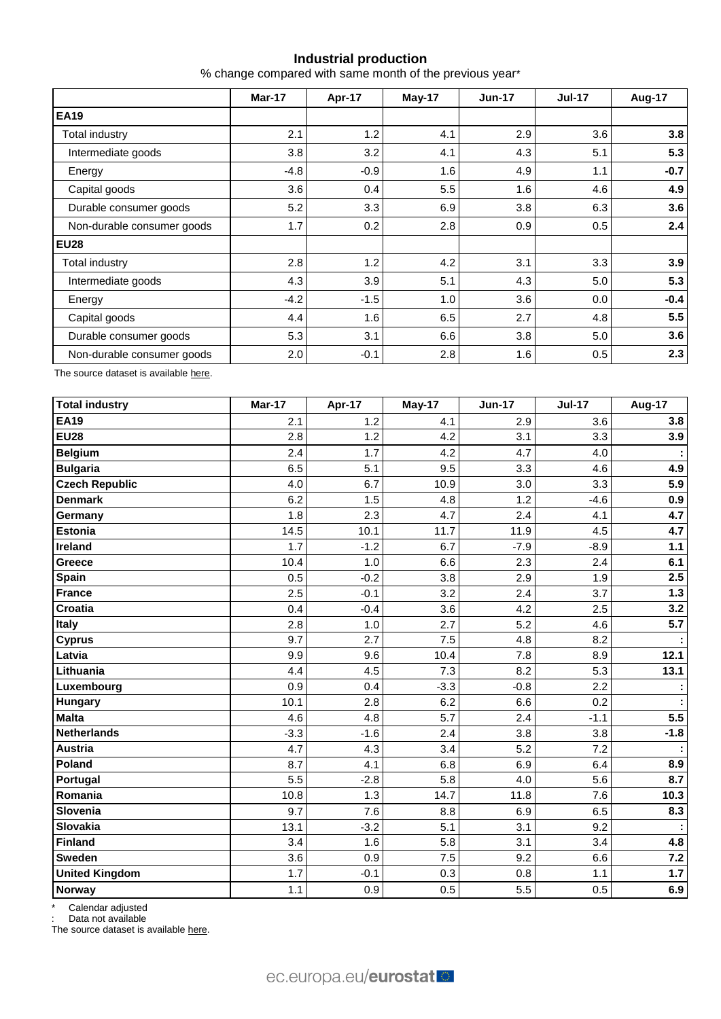# **Industrial production**

% change compared with same month of the previous year\*

|                            | Mar-17 | Apr-17        | May-17 | <b>Jun-17</b> | <b>Jul-17</b> | Aug-17 |  |
|----------------------------|--------|---------------|--------|---------------|---------------|--------|--|
| <b>EA19</b>                |        |               |        |               |               |        |  |
| Total industry             | 2.1    | 1.2           | 4.1    | 2.9           | 3.6           | 3.8    |  |
| Intermediate goods         | 3.8    | 3.2           | 4.1    | 4.3           | 5.1           | 5.3    |  |
| Energy                     | $-4.8$ | $-0.9$        | 1.6    | 4.9           | 1.1           | $-0.7$ |  |
| Capital goods              | 3.6    | $0.4^{\circ}$ | 5.5    | 1.6           | 4.6           | 4.9    |  |
| Durable consumer goods     | 5.2    | 3.3           | 6.9    | 3.8           | 6.3           | 3.6    |  |
| Non-durable consumer goods | 1.7    | 0.2           | 2.8    | 0.9           | 0.5           | 2.4    |  |
| <b>EU28</b>                |        |               |        |               |               |        |  |
| Total industry             | 2.8    | 1.2           | 4.2    | 3.1           | 3.3           | 3.9    |  |
| Intermediate goods         | 4.3    | 3.9           | 5.1    | 4.3           | 5.0           | 5.3    |  |
| Energy                     | $-4.2$ | $-1.5$        | 1.0    | 3.6           | 0.0           | $-0.4$ |  |
| Capital goods              | 4.4    | 1.6           | 6.5    | 2.7           | 4.8           | 5.5    |  |
| Durable consumer goods     | 5.3    | 3.1           | 6.6    | 3.8           | 5.0           | 3.6    |  |
| Non-durable consumer goods | 2.0    | $-0.1$        | 2.8    | 1.6           | 0.5           | 2.3    |  |

The source dataset is availabl[e here.](http://appsso.eurostat.ec.europa.eu/nui/show.do?query=BOOKMARK_DS-069583_QID_-628F3FF0_UID_-3F171EB0&layout=TIME,C,X,0;GEO,L,Y,0;NACE_R2,L,Y,1;INDIC_BT,L,Z,0;S_ADJ,L,Z,1;UNIT,L,Z,2;INDICATORS,C,Z,3;&zSelection=DS-069583UNIT,PCH_PRE;DS-069583S_ADJ,SCA;DS-069583INDIC_BT,PROD;DS-069583INDICATORS,OBS_FLAG;&rankName1=UNIT_1_2_-1_2&rankName2=INDIC-BT_1_2_-1_2&rankName3=INDICATORS_1_2_-1_2&rankName4=S-ADJ_1_2_-1_2&rankName5=TIME_1_0_0_0&rankName6=GEO_1_0_0_1&rankName7=NACE-R2_1_2_1_1&sortR=ASC_-1_FIRST&sortC=ASC_-1_FIRST&rStp=&cStp=&rDCh=&cDCh=&rDM=true&cDM=true&footnes=false&empty=false&wai=false&time_mode=ROLLING&time_most_recent=true&lang=EN&cfo=%23%23%23%2C%23%23%23.%23%23%23)

| <b>Total industry</b> | Mar-17 | Apr-17 | May-17 | <b>Jun-17</b> | <b>Jul-17</b> | <b>Aug-17</b> |
|-----------------------|--------|--------|--------|---------------|---------------|---------------|
| <b>EA19</b>           | 2.1    | 1.2    | 4.1    | 2.9           | 3.6           | 3.8           |
| <b>EU28</b>           | 2.8    | 1.2    | 4.2    | 3.1           | 3.3           | 3.9           |
| <b>Belgium</b>        | 2.4    | 1.7    | 4.2    | 4.7           | 4.0           |               |
| <b>Bulgaria</b>       | 6.5    | 5.1    | 9.5    | 3.3           | 4.6           | 4.9           |
| <b>Czech Republic</b> | 4.0    | 6.7    | 10.9   | 3.0           | 3.3           | 5.9           |
| <b>Denmark</b>        | 6.2    | 1.5    | 4.8    | 1.2           | $-4.6$        | 0.9           |
| Germany               | 1.8    | 2.3    | 4.7    | 2.4           | 4.1           | 4.7           |
| Estonia               | 14.5   | 10.1   | 11.7   | 11.9          | 4.5           | 4.7           |
| <b>Ireland</b>        | 1.7    | $-1.2$ | 6.7    | $-7.9$        | $-8.9$        | $1.1$         |
| Greece                | 10.4   | 1.0    | 6.6    | 2.3           | 2.4           | 6.1           |
| Spain                 | 0.5    | $-0.2$ | 3.8    | 2.9           | 1.9           | 2.5           |
| <b>France</b>         | 2.5    | $-0.1$ | 3.2    | 2.4           | 3.7           | $1.3$         |
| <b>Croatia</b>        | 0.4    | $-0.4$ | 3.6    | 4.2           | 2.5           | 3.2           |
| <b>Italy</b>          | 2.8    | 1.0    | 2.7    | 5.2           | 4.6           | 5.7           |
| <b>Cyprus</b>         | 9.7    | 2.7    | 7.5    | 4.8           | 8.2           |               |
| Latvia                | 9.9    | 9.6    | 10.4   | 7.8           | 8.9           | 12.1          |
| Lithuania             | 4.4    | 4.5    | 7.3    | 8.2           | 5.3           | 13.1          |
| Luxembourg            | 0.9    | 0.4    | $-3.3$ | $-0.8$        | 2.2           | ÷             |
| Hungary               | 10.1   | 2.8    | 6.2    | 6.6           | 0.2           |               |
| <b>Malta</b>          | 4.6    | 4.8    | 5.7    | 2.4           | $-1.1$        | 5.5           |
| <b>Netherlands</b>    | $-3.3$ | $-1.6$ | 2.4    | 3.8           | 3.8           | $-1.8$        |
| <b>Austria</b>        | 4.7    | 4.3    | 3.4    | 5.2           | 7.2           |               |
| Poland                | 8.7    | 4.1    | 6.8    | 6.9           | 6.4           | 8.9           |
| Portugal              | 5.5    | $-2.8$ | 5.8    | 4.0           | 5.6           | 8.7           |
| Romania               | 10.8   | 1.3    | 14.7   | 11.8          | 7.6           | 10.3          |
| Slovenia              | 9.7    | 7.6    | 8.8    | 6.9           | 6.5           | 8.3           |
| <b>Slovakia</b>       | 13.1   | $-3.2$ | 5.1    | 3.1           | 9.2           |               |
| <b>Finland</b>        | 3.4    | 1.6    | 5.8    | 3.1           | 3.4           | 4.8           |
| <b>Sweden</b>         | 3.6    | 0.9    | 7.5    | 9.2           | 6.6           | $7.2$         |
| <b>United Kingdom</b> | 1.7    | $-0.1$ | 0.3    | 0.8           | 1.1           | 1.7           |
| Norway                | 1.1    | 0.9    | 0.5    | 5.5           | 0.5           | 6.9           |

\* Calendar adjusted

: Data not available

The source dataset is availabl[e here.](http://appsso.eurostat.ec.europa.eu/nui/show.do?query=BOOKMARK_DS-069583_QID_690FAA53_UID_-3F171EB0&layout=TIME,C,X,0;GEO,L,Y,0;NACE_R2,L,Y,1;INDIC_BT,L,Z,0;S_ADJ,L,Z,1;UNIT,L,Z,2;INDICATORS,C,Z,3;&zSelection=DS-069583UNIT,PCH_SM;DS-069583S_ADJ,CA;DS-069583INDIC_BT,PROD;DS-069583INDICATORS,OBS_FLAG;&rankName1=UNIT_1_2_-1_2&rankName2=INDIC-BT_1_2_-1_2&rankName3=INDICATORS_1_2_-1_2&rankName4=S-ADJ_1_2_-1_2&rankName5=TIME_1_0_0_0&rankName6=GEO_1_2_0_1&rankName7=NACE-R2_1_2_1_1&sortC=ASC_-1_FIRST&rStp=&cStp=&rDCh=&cDCh=&rDM=true&cDM=true&footnes=false&empty=false&wai=false&time_mode=ROLLING&time_most_recent=true&lang=EN&cfo=%23%23%23%2C%23%23%23.%23%23%23)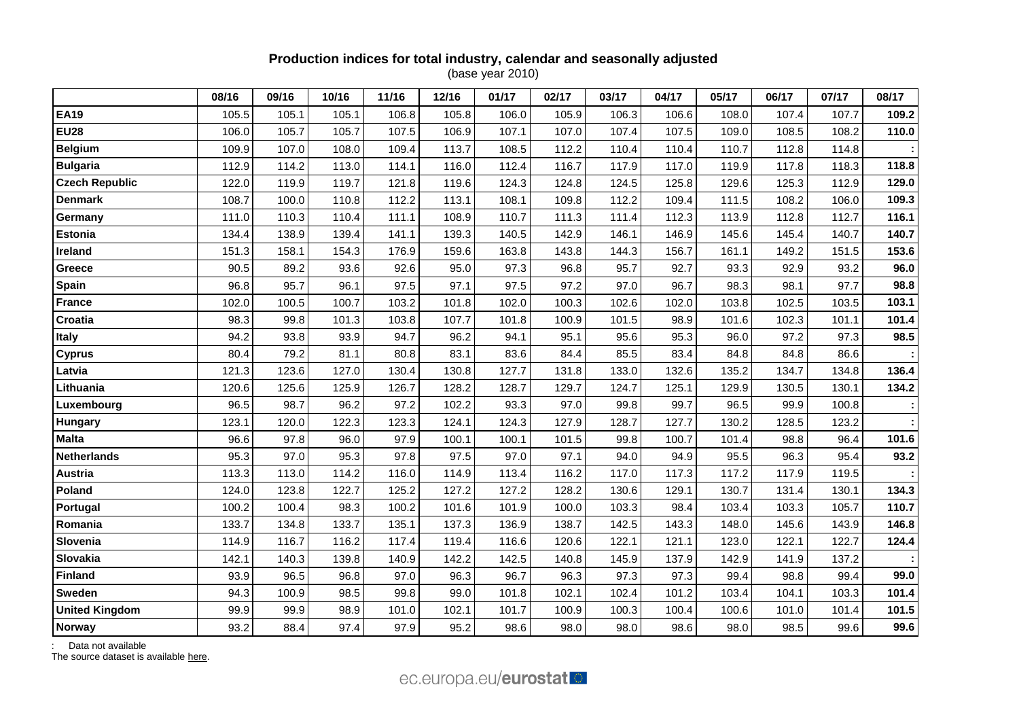## **Production indices for total industry, calendar and seasonally adjusted** (base year 2010)

|                       | 08/16 | 09/16 | 10/16 | 11/16 | 12/16 | 01/17 | 02/17 | 03/17 | 04/17 | 05/17 | 06/17 | 07/17 | 08/17 |
|-----------------------|-------|-------|-------|-------|-------|-------|-------|-------|-------|-------|-------|-------|-------|
| <b>EA19</b>           | 105.5 | 105.1 | 105.1 | 106.8 | 105.8 | 106.0 | 105.9 | 106.3 | 106.6 | 108.0 | 107.4 | 107.7 | 109.2 |
| <b>EU28</b>           | 106.0 | 105.7 | 105.7 | 107.5 | 106.9 | 107.1 | 107.0 | 107.4 | 107.5 | 109.0 | 108.5 | 108.2 | 110.0 |
| <b>Belgium</b>        | 109.9 | 107.0 | 108.0 | 109.4 | 113.7 | 108.5 | 112.2 | 110.4 | 110.4 | 110.7 | 112.8 | 114.8 |       |
| <b>Bulgaria</b>       | 112.9 | 114.2 | 113.0 | 114.1 | 116.0 | 112.4 | 116.7 | 117.9 | 117.0 | 119.9 | 117.8 | 118.3 | 118.8 |
| <b>Czech Republic</b> | 122.0 | 119.9 | 119.7 | 121.8 | 119.6 | 124.3 | 124.8 | 124.5 | 125.8 | 129.6 | 125.3 | 112.9 | 129.0 |
| <b>Denmark</b>        | 108.7 | 100.0 | 110.8 | 112.2 | 113.1 | 108.1 | 109.8 | 112.2 | 109.4 | 111.5 | 108.2 | 106.0 | 109.3 |
| Germany               | 111.0 | 110.3 | 110.4 | 111.1 | 108.9 | 110.7 | 111.3 | 111.4 | 112.3 | 113.9 | 112.8 | 112.7 | 116.1 |
| Estonia               | 134.4 | 138.9 | 139.4 | 141.1 | 139.3 | 140.5 | 142.9 | 146.1 | 146.9 | 145.6 | 145.4 | 140.7 | 140.7 |
| Ireland               | 151.3 | 158.1 | 154.3 | 176.9 | 159.6 | 163.8 | 143.8 | 144.3 | 156.7 | 161.1 | 149.2 | 151.5 | 153.6 |
| Greece                | 90.5  | 89.2  | 93.6  | 92.6  | 95.0  | 97.3  | 96.8  | 95.7  | 92.7  | 93.3  | 92.9  | 93.2  | 96.0  |
| Spain                 | 96.8  | 95.7  | 96.1  | 97.5  | 97.1  | 97.5  | 97.2  | 97.0  | 96.7  | 98.3  | 98.1  | 97.7  | 98.8  |
| <b>France</b>         | 102.0 | 100.5 | 100.7 | 103.2 | 101.8 | 102.0 | 100.3 | 102.6 | 102.0 | 103.8 | 102.5 | 103.5 | 103.1 |
| Croatia               | 98.3  | 99.8  | 101.3 | 103.8 | 107.7 | 101.8 | 100.9 | 101.5 | 98.9  | 101.6 | 102.3 | 101.1 | 101.4 |
| <b>Italy</b>          | 94.2  | 93.8  | 93.9  | 94.7  | 96.2  | 94.1  | 95.1  | 95.6  | 95.3  | 96.0  | 97.2  | 97.3  | 98.5  |
| <b>Cyprus</b>         | 80.4  | 79.2  | 81.1  | 80.8  | 83.1  | 83.6  | 84.4  | 85.5  | 83.4  | 84.8  | 84.8  | 86.6  |       |
| Latvia                | 121.3 | 123.6 | 127.0 | 130.4 | 130.8 | 127.7 | 131.8 | 133.0 | 132.6 | 135.2 | 134.7 | 134.8 | 136.4 |
| Lithuania             | 120.6 | 125.6 | 125.9 | 126.7 | 128.2 | 128.7 | 129.7 | 124.7 | 125.1 | 129.9 | 130.5 | 130.1 | 134.2 |
| Luxembourg            | 96.5  | 98.7  | 96.2  | 97.2  | 102.2 | 93.3  | 97.0  | 99.8  | 99.7  | 96.5  | 99.9  | 100.8 |       |
| <b>Hungary</b>        | 123.1 | 120.0 | 122.3 | 123.3 | 124.1 | 124.3 | 127.9 | 128.7 | 127.7 | 130.2 | 128.5 | 123.2 |       |
| <b>Malta</b>          | 96.6  | 97.8  | 96.0  | 97.9  | 100.1 | 100.1 | 101.5 | 99.8  | 100.7 | 101.4 | 98.8  | 96.4  | 101.6 |
| <b>Netherlands</b>    | 95.3  | 97.0  | 95.3  | 97.8  | 97.5  | 97.0  | 97.1  | 94.0  | 94.9  | 95.5  | 96.3  | 95.4  | 93.2  |
| <b>Austria</b>        | 113.3 | 113.0 | 114.2 | 116.0 | 114.9 | 113.4 | 116.2 | 117.0 | 117.3 | 117.2 | 117.9 | 119.5 |       |
| Poland                | 124.0 | 123.8 | 122.7 | 125.2 | 127.2 | 127.2 | 128.2 | 130.6 | 129.1 | 130.7 | 131.4 | 130.1 | 134.3 |
| Portugal              | 100.2 | 100.4 | 98.3  | 100.2 | 101.6 | 101.9 | 100.0 | 103.3 | 98.4  | 103.4 | 103.3 | 105.7 | 110.7 |
| Romania               | 133.7 | 134.8 | 133.7 | 135.1 | 137.3 | 136.9 | 138.7 | 142.5 | 143.3 | 148.0 | 145.6 | 143.9 | 146.8 |
| Slovenia              | 114.9 | 116.7 | 116.2 | 117.4 | 119.4 | 116.6 | 120.6 | 122.1 | 121.1 | 123.0 | 122.1 | 122.7 | 124.4 |
| Slovakia              | 142.1 | 140.3 | 139.8 | 140.9 | 142.2 | 142.5 | 140.8 | 145.9 | 137.9 | 142.9 | 141.9 | 137.2 |       |
| <b>Finland</b>        | 93.9  | 96.5  | 96.8  | 97.0  | 96.3  | 96.7  | 96.3  | 97.3  | 97.3  | 99.4  | 98.8  | 99.4  | 99.0  |
| Sweden                | 94.3  | 100.9 | 98.5  | 99.8  | 99.0  | 101.8 | 102.1 | 102.4 | 101.2 | 103.4 | 104.1 | 103.3 | 101.4 |
| <b>United Kingdom</b> | 99.9  | 99.9  | 98.9  | 101.0 | 102.1 | 101.7 | 100.9 | 100.3 | 100.4 | 100.6 | 101.0 | 101.4 | 101.5 |
| Norway                | 93.2  | 88.4  | 97.4  | 97.9  | 95.2  | 98.6  | 98.0  | 98.0  | 98.6  | 98.0  | 98.5  | 99.6  | 99.6  |

: Data not available

The source dataset is available [here.](http://appsso.eurostat.ec.europa.eu/nui/show.do?query=BOOKMARK_DS-069583_QID_24071044_UID_-3F171EB0&layout=TIME,C,X,0;GEO,L,Y,0;INDIC_BT,L,Z,0;S_ADJ,L,Z,1;UNIT,L,Z,2;NACE_R2,L,Z,3;INDICATORS,C,Z,4;&zSelection=DS-069583UNIT,I10;DS-069583S_ADJ,SCA;DS-069583INDIC_BT,PROD;DS-069583INDICATORS,OBS_FLAG;DS-069583NACE_R2,B-D;&rankName1=UNIT_1_2_-1_2&rankName2=INDIC-BT_1_2_-1_2&rankName3=INDICATORS_1_2_-1_2&rankName4=S-ADJ_1_2_-1_2&rankName5=NACE-R2_1_2_1_1&rankName6=TIME_1_0_0_0&rankName7=GEO_1_2_0_1&sortC=ASC_-1_FIRST&rStp=&cStp=&rDCh=&cDCh=&rDM=true&cDM=true&footnes=false&empty=false&wai=false&time_mode=ROLLING&time_most_recent=true&lang=EN&cfo=%23%23%23%2C%23%23%23.%23%23%23)